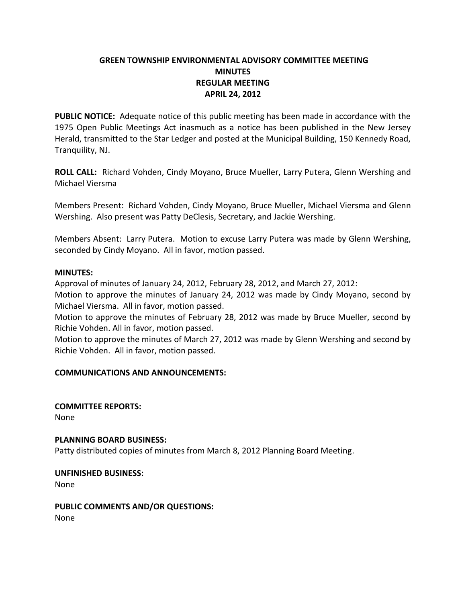# **GREEN TOWNSHIP ENVIRONMENTAL ADVISORY COMMITTEE MEETING MINUTES REGULAR MEETING APRIL 24, 2012**

**PUBLIC NOTICE:** Adequate notice of this public meeting has been made in accordance with the 1975 Open Public Meetings Act inasmuch as a notice has been published in the New Jersey Herald, transmitted to the Star Ledger and posted at the Municipal Building, 150 Kennedy Road, Tranquility, NJ.

**ROLL CALL:** Richard Vohden, Cindy Moyano, Bruce Mueller, Larry Putera, Glenn Wershing and Michael Viersma

Members Present: Richard Vohden, Cindy Moyano, Bruce Mueller, Michael Viersma and Glenn Wershing. Also present was Patty DeClesis, Secretary, and Jackie Wershing.

Members Absent: Larry Putera. Motion to excuse Larry Putera was made by Glenn Wershing, seconded by Cindy Moyano. All in favor, motion passed.

### **MINUTES:**

Approval of minutes of January 24, 2012, February 28, 2012, and March 27, 2012:

Motion to approve the minutes of January 24, 2012 was made by Cindy Moyano, second by Michael Viersma. All in favor, motion passed.

Motion to approve the minutes of February 28, 2012 was made by Bruce Mueller, second by Richie Vohden. All in favor, motion passed.

Motion to approve the minutes of March 27, 2012 was made by Glenn Wershing and second by Richie Vohden. All in favor, motion passed.

## **COMMUNICATIONS AND ANNOUNCEMENTS:**

**COMMITTEE REPORTS:** None

**PLANNING BOARD BUSINESS:**

Patty distributed copies of minutes from March 8, 2012 Planning Board Meeting.

**UNFINISHED BUSINESS:** None

**PUBLIC COMMENTS AND/OR QUESTIONS:** None